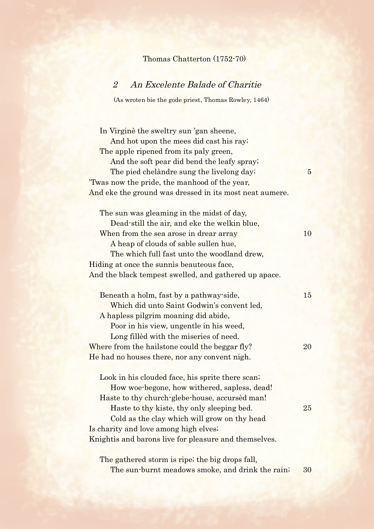## Thomas Chatterton (1752-70)

## 2 An Excelente Balade of Charitie

(As wroten bie the gode priest, Thomas Rowley, 1464)

In Virginè the sweltry sun 'gan sheene, And hot upon the mees did cast his ray; The apple ripened from its paly green, And the soft pear did bend the leafy spray; The pied chelàndre sung the livelong day; 5 'Twas now the pride, the manhood of the year, And eke the ground was dressed in its most neat aumere. The sun was gleaming in the midst of day, Dead-still the air, and eke the welkin blue, When from the sea arose in drear array 10 A heap of clouds of sable sullen hue, The which full fast unto the woodland drew, Hiding at once the sunnìs beauteous face, And the black tempest swelled, and gathered up apace. Beneath a holm, fast by a pathway-side, 15 Which did unto Saint Godwin's convent led, A hapless pilgrim moaning did abide, Poor in his view, ungentle in his weed, Long fillèd with the miseries of need. Where from the hailstone could the beggar fly? 20 He had no houses there, nor any convent nigh. Look in his clouded face, his sprite there scan; How woe-begone, how withered, sapless, dead! Haste to thy church-glebe-house, accursèd man! Haste to thy kiste, thy only sleeping bed. 25 Cold as the clay which will grow on thy head Is charity and love among high elves; Knightìs and barons live for pleasure and themselves. The gathered storm is ripe; the big drops fall,

The sun-burnt meadows smoke, and drink the rain; 30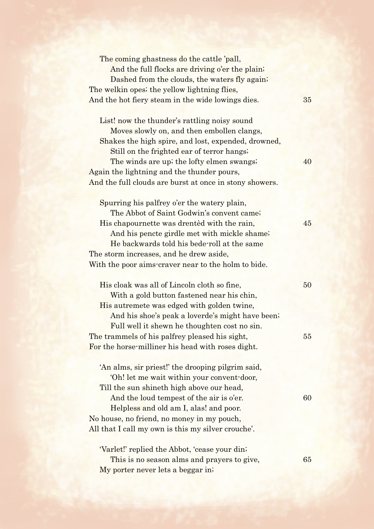| The coming ghastness do the cattle 'pall,               |    |
|---------------------------------------------------------|----|
| And the full flocks are driving o'er the plain;         |    |
| Dashed from the clouds, the waters fly again;           |    |
| The welkin opes; the yellow lightning flies,            |    |
| And the hot fiery steam in the wide lowings dies.       | 35 |
|                                                         |    |
| List! now the thunder's rattling noisy sound            |    |
| Moves slowly on, and then embollen clangs,              |    |
| Shakes the high spire, and lost, expended, drowned,     |    |
| Still on the frighted ear of terror hangs;              |    |
| The winds are up; the lofty elmen swangs;               | 40 |
| Again the lightning and the thunder pours,              |    |
| And the full clouds are burst at once in stony showers. |    |
|                                                         |    |
| Spurring his palfrey o'er the watery plain,             |    |
| The Abbot of Saint Godwin's convent came;               |    |
| His chapournette was drented with the rain,             | 45 |
| And his pencte girdle met with mickle shame;            |    |
| He backwards told his bede-roll at the same             |    |
| The storm increases, and he drew aside,                 |    |
| With the poor aims-craver near to the holm to bide.     |    |
|                                                         |    |
| His cloak was all of Lincoln cloth so fine,             | 50 |
| With a gold button fastened near his chin,              |    |
| His autremete was edged with golden twine,              |    |
| And his shoe's peak a loverde's might have been;        |    |
| Full well it shewn he thoughten cost no sin.            |    |
| The trammels of his palfrey pleased his sight,          | 55 |
| For the horse-milliner his head with roses dight.       |    |
|                                                         |    |
| 'An alms, sir priest!' the drooping pilgrim said,       |    |
| 'Oh! let me wait within your convent-door,              |    |
| Till the sun shineth high above our head,               |    |
| And the loud tempest of the air is o'er.                | 60 |
| Helpless and old am I, alas! and poor.                  |    |
| No house, no friend, no money in my pouch,              |    |
| All that I call my own is this my silver crouche'.      |    |
|                                                         |    |
| 'Varlet!' replied the Abbot, 'cease your din;           |    |
| This is no season alms and prayers to give,             | 65 |
| My porter never lets a beggar in;                       |    |
|                                                         |    |